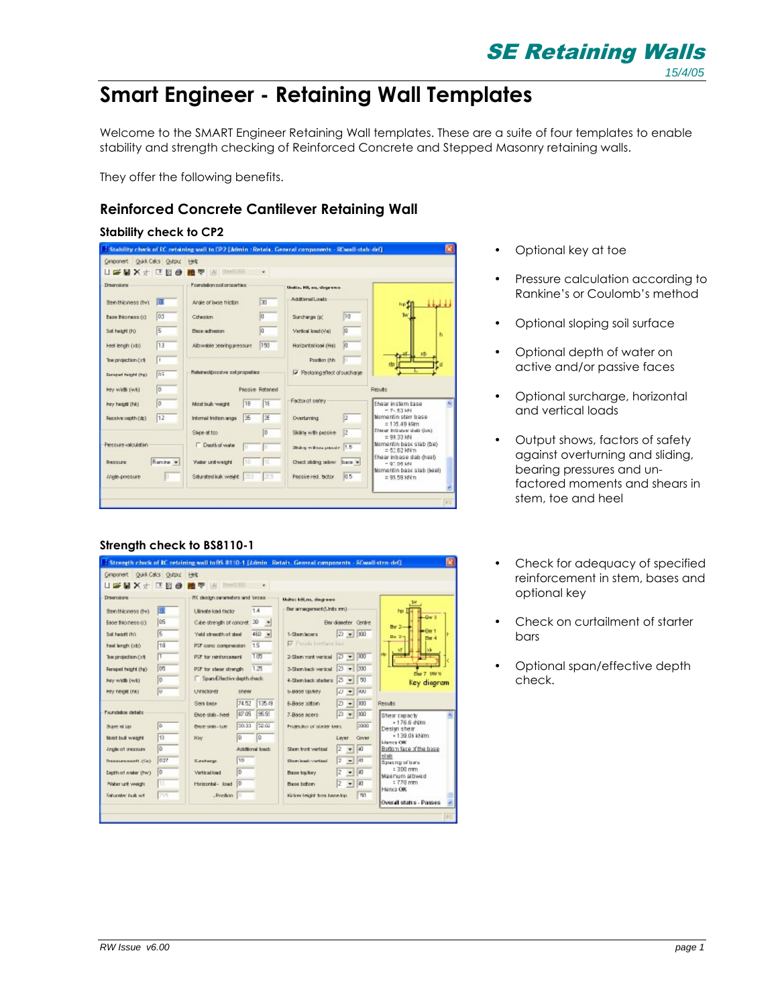SE Retaining Walls

15/4/05

# **Smart Engineer - Retaining Wall Templates**

Welcome to the SMART Engineer Retaining Wall templates. These are a suite of four templates to enable stability and strength checking of Reinforced Concrete and Stepped Masonry retaining walls.

They offer the following benefits.

## **Reinforced Concrete Cantilever Retaining Wall**

## **Stability check to CP2**

| Ciniponert Quist Calcs Output Help                                                                     |                                |                 |                                        |                                                                           |  |
|--------------------------------------------------------------------------------------------------------|--------------------------------|-----------------|----------------------------------------|---------------------------------------------------------------------------|--|
| U # W X + C @ 8                                                                                        | <b>B V</b>   A  SteelS355      | ٠               |                                        |                                                                           |  |
| Dimensione                                                                                             | For cluton and properties:     |                 | United Hitching of the American        |                                                                           |  |
| 匠<br>Ben thicases (NO)                                                                                 | Angle of base friction.        | $\sqrt{30}$     | <b>Additional Loads</b>                | فالمعط<br>hell                                                            |  |
| D <sub>5</sub><br>[b] xxantride state                                                                  | <b>Crimation</b>               | lia             | 10<br>Surcharge (p)                    | w                                                                         |  |
| 5<br>Soil height (h)                                                                                   | Dece adhesion                  | la.             | lia.<br>Vertical load (Va)             | ħ                                                                         |  |
| 13<br>Feel length (kb)                                                                                 | Altrwakie tearing pressure     | 150             | <b>In</b><br>Horizentaliosi (Hs)       |                                                                           |  |
| Tom projection (b)<br>п                                                                                |                                |                 | Postion (hh)                           | ab                                                                        |  |
| m<br><b>Cornered Faight (Fe)</b>                                                                       | Relative clips and properties: |                 | <b>W</b> Restoring stept of surchaster |                                                                           |  |
| Ιn<br>hey width (wk)                                                                                   |                                | Passive Retared |                                        | Results                                                                   |  |
|                                                                                                        |                                |                 |                                        |                                                                           |  |
| Γō                                                                                                     | <b>TB</b><br>Most bulk weight  | 11E             | Factor of series                       | Fhaar in stam base                                                        |  |
| 12                                                                                                     | 35<br>Internal fridion angel   | ΙŒ              | $\sqrt{2}$<br>Overtaming               | $= 71.53$ MV<br>tiomentin sterr base<br>$= 1.25$ , 4B kMm                 |  |
|                                                                                                        | Shoe at too                    | In              | Sliding with pappive.<br>32            | Efferer Intranse statz (Los)<br>$= 91.33$ kN                              |  |
|                                                                                                        | <b>F</b> Depth of viate<br>lо  | lо              | <b>Shing will not pressing 1.5</b>     | tiomentin base slab (be)<br>$= 62.62$ kNm                                 |  |
| hey height (hk).<br>Feature ought (dc)<br>Pressure raiculation<br><b>Rancing w</b><br><b>President</b> | 10<br>Vider unit weight        | 1TC             | Check sliding selow base w             | Ehear inbase slab dreeb<br>$-9^\circ$ DS LAU<br>Nomentin base slab (heel) |  |

## **Strength check to BS8110-1**

| Cinipanert Quist Calcs Output Help<br><b>Dimensions</b><br>瞳<br>Ben thioness (N)<br>los<br>Ease thiomese (c)<br>5<br>Soil height (h): | FC design senered are and forces:<br>Librarie load facto:<br>Cube strength of concret. 3D |       | $\mathbf{r}$<br>1.4 | United kill, m., dogresse                                                           |  |
|---------------------------------------------------------------------------------------------------------------------------------------|-------------------------------------------------------------------------------------------|-------|---------------------|-------------------------------------------------------------------------------------|--|
|                                                                                                                                       |                                                                                           |       |                     |                                                                                     |  |
|                                                                                                                                       |                                                                                           |       |                     |                                                                                     |  |
|                                                                                                                                       |                                                                                           |       |                     |                                                                                     |  |
|                                                                                                                                       |                                                                                           |       |                     | Bar arrangement (Units mm)<br>hu.<br>Day 9                                          |  |
|                                                                                                                                       |                                                                                           |       | $\bullet$           | <b>Bardianeter</b> Centre<br>$B = 2 -$                                              |  |
|                                                                                                                                       | Veid strength of deal                                                                     |       | 460 w               | $20 - 100$<br>1-Sternboard<br>$Da = 3 -$<br>For 4                                   |  |
| Пā<br>heat langh (>b)                                                                                                                 | PSF canc cangregian                                                                       |       | 15                  | F Provide trentlace best                                                            |  |
| Π<br>Tom projection (x1)                                                                                                              | PSF for reinforcement                                                                     |       | 1.05                | 2-Sham rant vertical $[2]$ $\rightarrow$ $[100]$                                    |  |
| los<br>Fornped height (hø)                                                                                                            | PSF for atent strength                                                                    |       | 1, 25               | 3-Stemhack vertical 2 = 300                                                         |  |
| Γo<br>hav width (wk)                                                                                                                  | Span El factive depth check                                                               |       |                     | <b>Bar 7 HW H</b><br>4-Stemlack staten:   2 -   50<br>Key diagram                   |  |
| π<br>Fey neare that                                                                                                                   | Unfactores                                                                                | onew  |                     | $2 - 100$<br><b>INBURGE OBJECT</b>                                                  |  |
|                                                                                                                                       | Seri base                                                                                 | 74.52 | 135.49              | $27 - 100$<br><b>Requise</b><br>B-Base tottom                                       |  |
| Faunchtion details:                                                                                                                   | Ence sign - heel                                                                          | 87.05 | 95.95               | $20 - 100$<br>7-Base acers<br>Shear capacty                                         |  |
| <b>ID</b><br><b>Busine ini Law</b>                                                                                                    | Bearer side - Luez                                                                        | 00:33 | 52.02               | $+176.6$ $d$ Um<br>5000<br>Protection of states time.<br>Design shear               |  |
| H3<br>Moint bull weight                                                                                                               | <b>Hav</b>                                                                                | Ιū    | lū                  | $+1.39.08$ khilm<br><b>Cover</b><br>Liver                                           |  |
| Ιū<br>inutes and the algory.                                                                                                          |                                                                                           |       | Aridianal loach     | <b>Llancs OK</b><br>$-10$<br>12<br>Bottom face of the base<br>Sharp front vertical. |  |
| 027<br>Геологический (Си)                                                                                                             | Eastway                                                                                   | 110   |                     | ed ada<br>$-110$<br>E<br>Downloads continut<br>Spachp of bara                       |  |
| In<br>Depth of water (tw)                                                                                                             | <b>Metical load</b>                                                                       | Ιn    |                     | $= 300$ mm<br>$-10$<br>z<br>Base toplery                                            |  |
| 13<br>Péater unit weight                                                                                                              | Horizontal- load                                                                          | In    |                     | Maxinum albwed<br>$: 770$ mm<br>z<br>$+10$<br>Base before                           |  |
| 215<br><b>Saturater built wit</b>                                                                                                     | -Prellion III                                                                             |       |                     | Hence OK<br>m<br>Kickey Ividet from benefing.                                       |  |
|                                                                                                                                       |                                                                                           |       |                     | Overall status - Passes                                                             |  |

- Optional key at toe
- Pressure calculation according to Rankine's or Coulomb's method
- Optional sloping soil surface
- Optional depth of water on active and/or passive faces
- Optional surcharge, horizontal and vertical loads
- Output shows, factors of safety against overturning and sliding, bearing pressures and unfactored moments and shears in stem, toe and heel
- Check for adequacy of specified reinforcement in stem, bases and optional key
- Check on curtailment of starter bars
- Optional span/effective depth check.